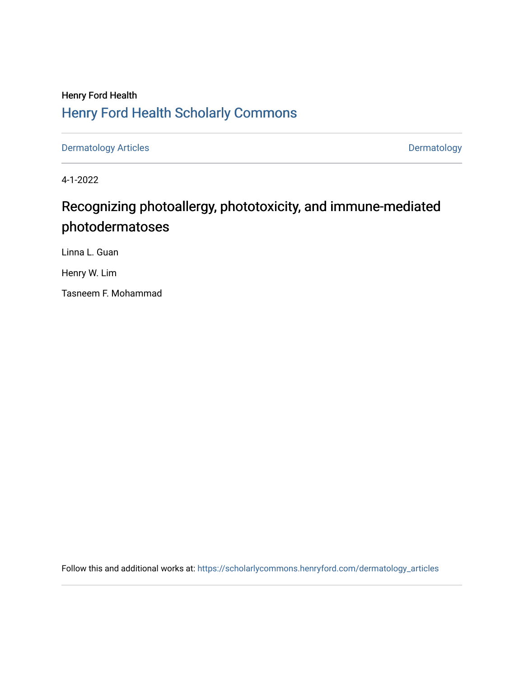# Henry Ford Health [Henry Ford Health Scholarly Commons](https://scholarlycommons.henryford.com/)

[Dermatology Articles](https://scholarlycommons.henryford.com/dermatology_articles) **Dermatology** 

4-1-2022

# Recognizing photoallergy, phototoxicity, and immune-mediated photodermatoses

Linna L. Guan

Henry W. Lim

Tasneem F. Mohammad

Follow this and additional works at: [https://scholarlycommons.henryford.com/dermatology\\_articles](https://scholarlycommons.henryford.com/dermatology_articles?utm_source=scholarlycommons.henryford.com%2Fdermatology_articles%2F674&utm_medium=PDF&utm_campaign=PDFCoverPages)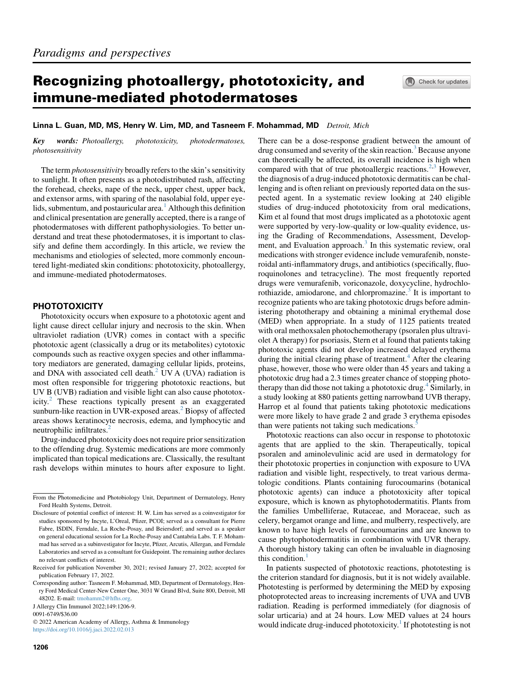## Recognizing photoallergy, phototoxicity, and immune-mediated photodermatoses

#### Linna L. Guan, MD, MS, Henry W. Lim, MD, and Tasneem F. Mohammad, MD Detroit, Mich

Key words: Photoallergy, phototoxicity, photodermatoses, photosensitivity

The term photosensitivity broadly refers to the skin's sensitivity to sunlight. It often presents as a photodistributed rash, affecting the forehead, cheeks, nape of the neck, upper chest, upper back, and extensor arms, with sparing of the nasolabial fold, upper eye-lids, submentum, and postauricular area.<sup>[1](#page-4-0)</sup> Although this definition and clinical presentation are generally accepted, there is a range of photodermatoses with different pathophysiologies. To better understand and treat these photodermatoses, it is important to classify and define them accordingly. In this article, we review the mechanisms and etiologies of selected, more commonly encountered light-mediated skin conditions: phototoxicity, photoallergy, and immune-mediated photodermatoses.

## **PHOTOTOXICITY**

Phototoxicity occurs when exposure to a phototoxic agent and light cause direct cellular injury and necrosis to the skin. When ultraviolet radiation (UVR) comes in contact with a specific phototoxic agent (classically a drug or its metabolites) cytotoxic compounds such as reactive oxygen species and other inflammatory mediators are generated, damaging cellular lipids, proteins, and DNA with associated cell death. $<sup>2</sup>$  $<sup>2</sup>$  $<sup>2</sup>$  UV A (UVA) radiation is</sup> most often responsible for triggering phototoxic reactions, but UV B (UVB) radiation and visible light can also cause phototoxicity.[2](#page-4-1) These reactions typically present as an exaggerated sunburn-like reaction in UVR-exposed areas.<sup>[2](#page-4-1)</sup> Biopsy of affected areas shows keratinocyte necrosis, edema, and lymphocytic and neutrophilic infiltrates.<sup>[2](#page-4-1)</sup>

Drug-induced phototoxicity does not require prior sensitization to the offending drug. Systemic medications are more commonly implicated than topical medications are. Classically, the resultant rash develops within minutes to hours after exposure to light.

<https://doi.org/10.1016/j.jaci.2022.02.013>

There can be a dose-response gradient between the amount of drug consumed and severity of the skin reaction.<sup>[3](#page-4-2)</sup> Because anyone can theoretically be affected, its overall incidence is high when compared with that of true photoallergic reactions.<sup>[2](#page-4-1)[,3](#page-4-2)</sup> However, the diagnosis of a drug-induced phototoxic dermatitis can be challenging and is often reliant on previously reported data on the suspected agent. In a systematic review looking at 240 eligible studies of drug-induced phototoxicity from oral medications, Kim et al found that most drugs implicated as a phototoxic agent were supported by very-low-quality or low-quality evidence, using the Grading of Recommendations, Assessment, Development, and Evaluation approach.<sup>3</sup> In this systematic review, oral medications with stronger evidence include vemurafenib, nonsteroidal anti-inflammatory drugs, and antibiotics (specifically, fluoroquinolones and tetracycline). The most frequently reported drugs were vemurafenib, voriconazole, doxycycline, hydrochlo-rothiazide, amiodarone, and chlorpromazine.<sup>[3](#page-4-2)</sup> It is important to recognize patients who are taking phototoxic drugs before administering phototherapy and obtaining a minimal erythemal dose (MED) when appropriate. In a study of 1125 patients treated with oral methoxsalen photochemotherapy (psoralen plus ultraviolet A therapy) for psoriasis, Stern et al found that patients taking phototoxic agents did not develop increased delayed erythema during the initial clearing phase of treatment.<sup>[4](#page-4-3)</sup> After the clearing phase, however, those who were older than 45 years and taking a phototoxic drug had a 2.3 times greater chance of stopping photo-therapy than did those not taking a phototoxic drug.<sup>[4](#page-4-3)</sup> Similarly, in a study looking at 880 patients getting narrowband UVB therapy, Harrop et al found that patients taking phototoxic medications were more likely to have grade 2 and grade 3 erythema episodes than were patients not taking such medications.<sup>[5](#page-4-4)</sup>

Phototoxic reactions can also occur in response to phototoxic agents that are applied to the skin. Therapeutically, topical psoralen and aminolevulinic acid are used in dermatology for their phototoxic properties in conjunction with exposure to UVA radiation and visible light, respectively, to treat various dermatologic conditions. Plants containing furocoumarins (botanical phototoxic agents) can induce a phototoxicity after topical exposure, which is known as phytophotodermatitis. Plants from the families Umbelliferae, Rutaceae, and Moraceae, such as celery, bergamot orange and lime, and mulberry, respectively, are known to have high levels of furocoumarins and are known to cause phytophotodermatitis in combination with UVR therapy. A thorough history taking can often be invaluable in diagnosing this condition. $<sup>1</sup>$  $<sup>1</sup>$  $<sup>1</sup>$ </sup>

In patients suspected of phototoxic reactions, phototesting is the criterion standard for diagnosis, but it is not widely available. Phototesting is performed by determining the MED by exposing photoprotected areas to increasing increments of UVA and UVB radiation. Reading is performed immediately (for diagnosis of solar urticaria) and at 24 hours. Low MED values at 24 hours would indicate drug-induced phototoxicity.<sup>1</sup> If phototesting is not

From the Photomedicine and Photobiology Unit, Department of Dermatology, Henry Ford Health Systems, Detroit.

Disclosure of potential conflict of interest: H. W. Lim has served as a coinvestigator for studies sponsored by Incyte, L'Oreal, Pfizer, PCOI; served as a consultant for Pierre Fabre, ISDIN, Ferndale, La Roche-Posay, and Beiersdorf; and served as a speaker on general educational session for La Roche-Posay and Cantabria Labs. T. F. Mohammad has served as a subinvestigator for Incyte, Pfizer, Arcutis, Allergan, and Ferndale Laboratories and served as a consultant for Guidepoint. The remaining author declares no relevant conflicts of interest.

Received for publication November 30, 2021; revised January 27, 2022; accepted for publication February 17, 2022.

Corresponding author: Tasneem F. Mohammad, MD, Department of Dermatology, Henry Ford Medical Center-New Center One, 3031 W Grand Blvd, Suite 800, Detroit, MI 48202. E-mail: [tmohamm2@hfhs.org](mailto:tmohamm2@hfhs.org).

J Allergy Clin Immunol 2022;149:1206-9.

<sup>0091-6749/\$36.00</sup>

2022 American Academy of Allergy, Asthma & Immunology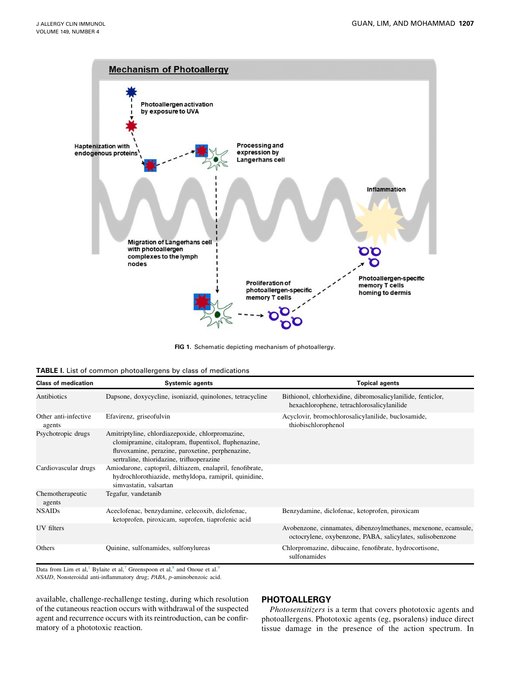<span id="page-2-0"></span>

FIG 1. Schematic depicting mechanism of photoallergy.

<span id="page-2-1"></span>

| <b>TABLE I</b> . List of common photoallergens by class of medications |
|------------------------------------------------------------------------|
|------------------------------------------------------------------------|

| <b>Class of medication</b>     | <b>Systemic agents</b>                                                                                                                                                                                    | <b>Topical agents</b>                                                                                                       |
|--------------------------------|-----------------------------------------------------------------------------------------------------------------------------------------------------------------------------------------------------------|-----------------------------------------------------------------------------------------------------------------------------|
| Antibiotics                    | Dapsone, doxycycline, isoniazid, quinolones, tetracycline                                                                                                                                                 | Bithionol, chlorhexidine, dibromosalicylanilide, fenticlor,<br>hexachlorophene, tetrachlorosalicylanilide                   |
| Other anti-infective<br>agents | Efavirenz, griseofulvin                                                                                                                                                                                   | Acyclovir, bromochlorosalicylanilide, buclosamide,<br>thiobischlorophenol                                                   |
| Psychotropic drugs             | Amitriptyline, chlordiazepoxide, chlorpromazine,<br>clomipramine, citalopram, flupentixol, fluphenazine,<br>fluvoxamine, perazine, paroxetine, perphenazine,<br>sertraline, thioridazine, trifluoperazine |                                                                                                                             |
| Cardiovascular drugs           | Amiodarone, captopril, diltiazem, enalapril, fenofibrate,<br>hydrochlorothiazide, methyldopa, ramipril, quinidine,<br>simvastatin, valsartan                                                              |                                                                                                                             |
| Chemotherapeutic<br>agents     | Tegafur, vandetanib                                                                                                                                                                                       |                                                                                                                             |
| <b>NSAIDs</b>                  | Aceclofenac, benzydamine, celecoxib, diclofenac,<br>ketoprofen, piroxicam, suprofen, tiaprofenic acid                                                                                                     | Benzydamine, diclofenac, ketoprofen, piroxicam                                                                              |
| UV filters                     |                                                                                                                                                                                                           | Avobenzone, cinnamates, dibenzoylmethanes, mexenone, ecamsule,<br>octocrylene, oxybenzone, PABA, salicylates, sulisobenzone |
| Others                         | Quinine, sulfonamides, sulfonylureas                                                                                                                                                                      | Chlorpromazine, dibucaine, fenofibrate, hydrocortisone,<br>sulfonamides                                                     |

Data from Lim et al,<sup>[1](#page-4-0)</sup> Bylaite et al,<sup>7</sup> Greenspoon et al,<sup>[8](#page-4-6)</sup> and Onoue et al.<sup>[9](#page-4-7)</sup> NSAID, Nonsteroidal anti-inflammatory drug; PABA, p-aminobenzoic acid.

available, challenge-rechallenge testing, during which resolution of the cutaneous reaction occurs with withdrawal of the suspected agent and recurrence occurs with its reintroduction, can be confirmatory of a phototoxic reaction.

## **PHOTOALLERGY**

Photosensitizers is a term that covers phototoxic agents and photoallergens. Phototoxic agents (eg, psoralens) induce direct tissue damage in the presence of the action spectrum. In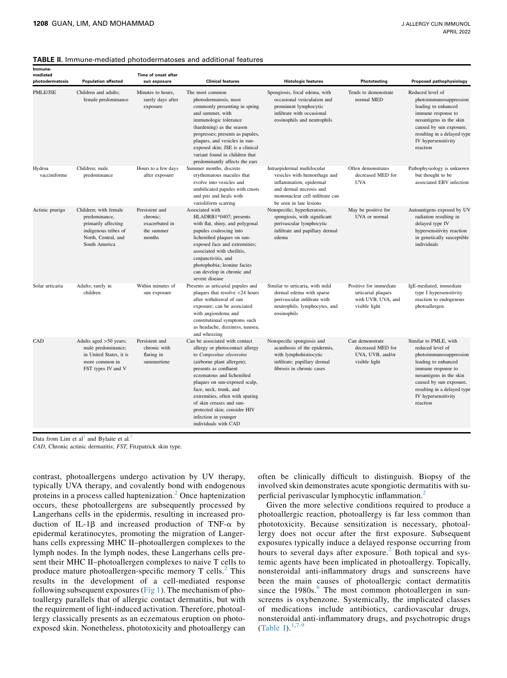#### <span id="page-3-0"></span>TABLE II. Immune-mediated photodermatoses and additional features

| Immune-<br>mediated<br>photodermatosis | <b>Population affected</b>                                                                                                    | Time of onset after<br>sun exposure                                  | <b>Clinical features</b>                                                                                                                                                                                                                                                                                                                                                                     | <b>Histologic features</b>                                                                                                                                                      | Phototesting                                                                        | Proposed pathophysiology                                                                                                                                                                                                                 |
|----------------------------------------|-------------------------------------------------------------------------------------------------------------------------------|----------------------------------------------------------------------|----------------------------------------------------------------------------------------------------------------------------------------------------------------------------------------------------------------------------------------------------------------------------------------------------------------------------------------------------------------------------------------------|---------------------------------------------------------------------------------------------------------------------------------------------------------------------------------|-------------------------------------------------------------------------------------|------------------------------------------------------------------------------------------------------------------------------------------------------------------------------------------------------------------------------------------|
| <b>PMLE/JSE</b>                        | Children and adults:<br>female predominance                                                                                   | Minutes to hours,<br>rarely days after<br>exposure                   | The most common<br>photodermatosis, most<br>commonly presenting in spring<br>and summer, with<br>immunologic tolerance<br>(hardening) as the season<br>progresses; presents as papules,<br>plaques, and vesicles in sun-<br>exposed skin; JSE is a clinical<br>variant found in children that<br>predominantly affects the ears                                                              | Spongiosis, focal edema, with<br>occasional vesiculation and<br>prominent lymphocytic<br>infiltrate with occasional<br>eosinophils and neutrophils                              | Tends to demonstrate<br>normal MED                                                  | Reduced level of<br>photoimmunosuppression<br>leading to enhanced<br>immune response to<br>neoantigens in the skin<br>caused by sun exposure,<br>resulting in a delayed type<br>IV hypersensitivity<br>reaction                          |
| Hydroa<br>vacciniforme                 | Children; male<br>predominance                                                                                                | Hours to a few days<br>after exposure                                | Summer months; discrete<br>erythematous macules that<br>evolve into vesicles and<br>umbilicated papules with crusts<br>and pits and heals with<br>varioliform scarring                                                                                                                                                                                                                       | Intraepidermal multilocular<br>vesicles with hemorrhage and<br>inflammation; epidermal<br>and dermal necrosis and<br>mononuclear cell infiltrate can<br>be seen in late lesions | Often demonstrates<br>decreased MED for<br><b>UVA</b>                               | Pathophysiology is unknown<br>but thought to be<br>associated EBV infection                                                                                                                                                              |
| Actinic prurigo                        | Children: with female<br>predominance,<br>primarily affecting<br>indigenous tribes of<br>North, Central, and<br>South America | Persistent and<br>chronic;<br>exacerbated in<br>the summer<br>months | Associated with<br>HLADRB1*0407; presents<br>with flat, shiny, and polygonal<br>papules coalescing into<br>lichenified plaques on sun-<br>exposed face and extremities;<br>associated with cheilitis,<br>conjunctivitis, and<br>photophobia; leonine facies<br>can develop in chronic and<br>severe disease                                                                                  | Nonspecific; hyperkeratosis,<br>spongiosis, with significant<br>perivascular lymphocytic<br>infiltrate and papillary dermal<br>edema                                            | May be positive for<br>UVA or normal                                                | Autoantigens exposed by UV<br>radiation resulting in<br>delayed type IV<br>hypersensitivity reaction<br>in genetically susceptible<br>individuals                                                                                        |
| Solar urticaria                        | Adults; rarely in<br>children                                                                                                 | Within minutes of<br>sun exposure                                    | Presents as urticarial papules and<br>plaques that resolve <24 hours<br>after withdrawal of sun<br>exposure; can be associated<br>with angioedema and<br>constitutional symptoms such<br>as headache, dizziness, nausea,<br>and wheezing                                                                                                                                                     | Similar to urticaria, with mild<br>dermal edema with sparse<br>perivascular infiltrate with<br>neutrophils, lymphocytes, and<br>eosinophils                                     | Positive for immediate<br>urticarial plaques<br>with UVB, UVA, and<br>visible light | IgE-mediated, immediate<br>type I hypersensitivity<br>reaction to endogenous<br>photoallergen                                                                                                                                            |
| CAD                                    | Adults aged $>50$ years;<br>male predominance;<br>in United States, it is<br>more common in<br>FST types IV and V             | Persistent and<br>chronic with<br>flaring in<br>summertime           | Can be associated with contact<br>allergy or photocontact allergy<br>to Compositae oleoresins<br>(airborne plant allergen);<br>presents as confluent<br>eczematous and lichenified<br>plaques on sun-exposed scalp,<br>face, neck, trunk, and<br>extremities, often with sparing<br>of skin creases and sun-<br>protected skin; consider HIV<br>infection in younger<br>individuals with CAD | Nonspecific spongiosis and<br>acanthosis of the epidermis,<br>with lymphohistiocytic<br>infiltrate; papillary dermal<br>fibrosis in chronic cases                               | Can demonstrate<br>decreased MED for<br>UVA, UVB, and/or<br>visible light           | Similar to PMLE, with<br>reduced level of<br>photoimmunosuppression<br>leading to enhanced<br>immune response to<br>neoantigens in the skin<br>caused by sun exposure,<br>resulting in a delayed type<br>IV hypersensitivity<br>reaction |

Data from Lim et al<sup>[1](#page-4-0)</sup> and Bylaite et al.<sup>7</sup>

CAD, Chronic actinic dermatitis; FST, Fitzpatrick skin type.

contrast, photoallergens undergo activation by UV therapy, typically UVA therapy, and covalently bond with endogenous proteins in a process called haptenization.<sup>[2](#page-4-1)</sup> Once haptenization occurs, these photoallergens are subsequently processed by Langerhans cells in the epidermis, resulting in increased production of IL-1 $\beta$  and increased production of TNF- $\alpha$  by epidermal keratinocytes, promoting the migration of Langerhans cells expressing MHC II–photoallergen complexes to the lymph nodes. In the lymph nodes, these Langerhans cells present their MHC II–photoallergen complexes to naive T cells to produce mature photoallergen-specific memory  $T$  cells.<sup>[2](#page-4-1)</sup> This results in the development of a cell-mediated response following subsequent exposures ([Fig 1](#page-2-0)). The mechanism of photoallergy parallels that of allergic contact dermatitis, but with the requirement of light-induced activation. Therefore, photoallergy classically presents as an eczematous eruption on photoexposed skin. Nonetheless, phototoxicity and photoallergy can

often be clinically difficult to distinguish. Biopsy of the involved skin demonstrates acute spongiotic dermatitis with su-perficial perivascular lymphocytic inflammation.<sup>[2](#page-4-1)</sup>

Given the more selective conditions required to produce a photoallergic reaction, photoallergy is far less common than phototoxicity. Because sensitization is necessary, photoallergy does not occur after the first exposure. Subsequent exposures typically induce a delayed response occurring from hours to several days after exposure.<sup>[2](#page-4-1)</sup> Both topical and systemic agents have been implicated in photoallergy. Topically, nonsteroidal anti-inflammatory drugs and sunscreens have been the main causes of photoallergic contact dermatitis since the  $1980s$ .<sup>[6](#page-4-8)</sup> The most common photoallergen in sunscreens is oxybenzone. Systemically, the implicated classes of medications include antibiotics, cardiovascular drugs, nonsteroidal anti-inflammatory drugs, and psychotropic drugs [\(Table I](#page-2-1)). $1,7-9$  $1,7-9$